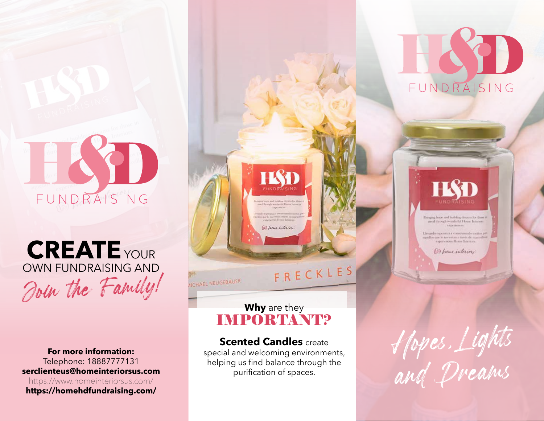

## Join the Family! **CREATE** YOUR OWN FUNDRAISING AND

**For more information:** Telephone: 18887777131 **serclienteus@homeinteriorsus.com** https://www.homeinteriorsus.com/ **https://homehdfundraising.com/**



#### Llexardo esperanta y construccido sucños pr los que lo novesitan a través de mar-<br>experiencias Home Esteriors

B) from interiors

**Why** are they IMPORTANT?

ICHAEL NEUGEBAUER

(b) home interiors

FRECKLES

## **Scented Candles** create

special and welcoming environments, helping us find balance through the purification of spaces.

Hopes, Lights and Dreams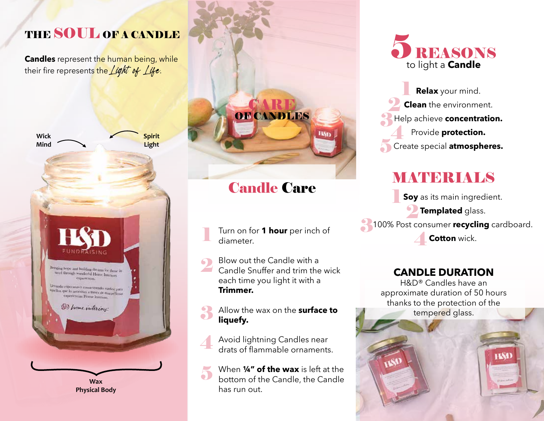## THE SOUL OF A CANDLE

**Candles** represent the human being, while their fire represents the *Light of Life*.



**Physical Body**

# CARE OF CANDLES

## Candle Care

Turn on for **1 hour** per inch of diameter. 1

Blow out the Candle with a Candle Snuffer and trim the wick each time you light it with a **Trimmer.**  $\Omega$ 

Allow the wax on the **surface to liquefy.** 3

Avoid lightning Candles near drats of flammable ornaments. 4

When **¼" of the wax** is left at the bottom of the Candle, the Candle has run out. 5



5 1 2 3 4 **Relax** your mind. **Clean** the environment. Help achieve **concentration.** Provide **protection.** Create special **atmospheres.** 

## **MATERIALS**

1 **2** Templated glass. **3**100% Post consumer recycling cardboard.  $\overline{4}$ **Soy** as its main ingredient. **Cotton** wick.

## **CANDLE DURATION**

H&D® Candles have an approximate duration of 50 hours thanks to the protection of the tempered glass.